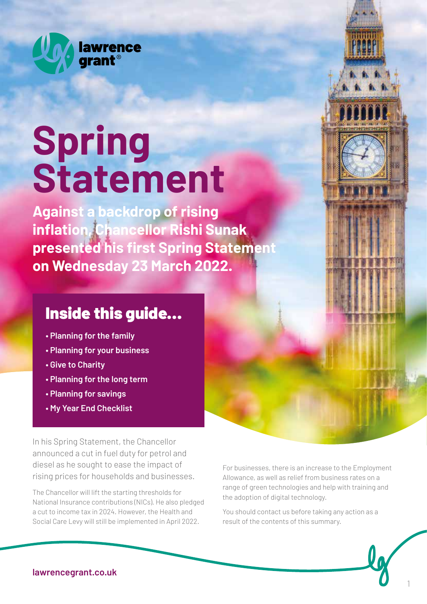

# **Spring Statement**

**Against a backdrop of rising inflation, Chancellor Rishi Sunak presented his first Spring Statement on Wednesday 23 March 2022.**

### Inside this guide…

- **Planning for the family**
- **Planning for your business**
- **Give to Charity**
- **Planning for the long term**
- **Planning for savings**
- **My Year End Checklist**

In his Spring Statement, the Chancellor announced a cut in fuel duty for petrol and diesel as he sought to ease the impact of rising prices for households and businesses.

The Chancellor will lift the starting thresholds for National Insurance contributions (NICs). He also pledged a cut to income tax in 2024. However, the Health and Social Care Levy will still be implemented in April 2022.

For businesses, there is an increase to the Employment Allowance, as well as relief from business rates on a range of green technologies and help with training and the adoption of digital technology.

You should contact us before taking any action as a result of the contents of this summary.



1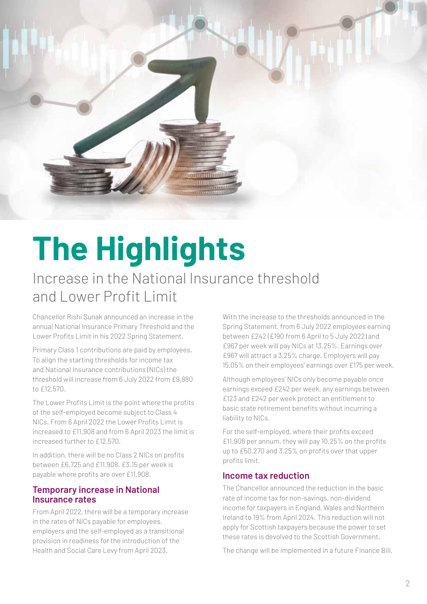

## **The Highlights** Increase in the National Insurance threshold

and Lower Profit Limit

Chancellor Rishi Sunak announced an increase in the annual National Insurance Primary Threshold and the Lower Profits Limit in his 2022 Spring Statement.

Primary Class 1 contributions are paid by employees. To align the starting thresholds for income tax and National Insurance contributions (NICs) the threshold will increase from 6 July 2022 from £9,880 to £12,570.

The Lower Profits Limit is the point where the profits of the self-employed become subject to Class 4 NICs. From 6 April 2022 the Lower Profits Limit is increased to £11,908 and from 6 April 2023 the limit is increased further to £12,570.

In addition, there will be no Class 2 NICs on profits between £6,725 and £11,908. £3.15 per week is payable where profits are over £11,908.

#### **Temporary increase in National Insurance rates**

From April 2022, there will be a temporary increase in the rates of NICs payable for employees, employers and the self-employed as a transitional provision in readiness for the introduction of the Health and Social Care Levy from April 2023.

With the increase to the thresholds announced in the Spring Statement, from 6 July 2022 employees earning between £242 (£190 from 6 April to 5 July 2022) and £967 per week will pay NICs at 13.25%. Earnings over £967 will attract a 3.25% charge. Employers will pay 15.05% on their employees' earnings over £175 per week.

Although employees' NICs only become payable once earnings exceed £242 per week, any earnings between £123 and £242 per week protect an entitlement to basic state retirement benefits without incurring a liability to NICs.

For the self-employed, where their profits exceed £11,908 per annum, they will pay 10.25% on the profits up to £50,270 and 3.25% on profits over that upper profits limit.

#### **Income tax reduction**

The Chancellor announced the reduction in the basic rate of income tax for non-savings, non-dividend income for taxpayers in England, Wales and Northern Ireland to 19% from April 2024. This reduction will not apply for Scottish taxpayers because the power to set these rates is devolved to the Scottish Government.

The change will be implemented in a future Finance Bill.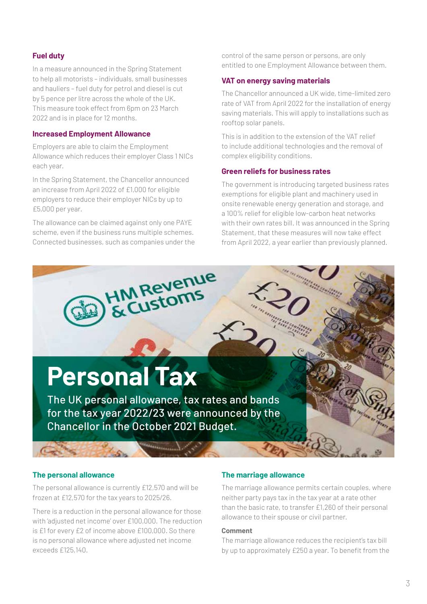#### **Fuel duty**

In a measure announced in the Spring Statement to help all motorists – individuals, small businesses and hauliers – fuel duty for petrol and diesel is cut by 5 pence per litre across the whole of the UK. This measure took effect from 6pm on 23 March 2022 and is in place for 12 months.

#### **Increased Employment Allowance**

Employers are able to claim the Employment Allowance which reduces their employer Class 1 NICs each year.

In the Spring Statement, the Chancellor announced an increase from April 2022 of £1,000 for eligible employers to reduce their employer NICs by up to £5,000 per year.

The allowance can be claimed against only one PAYE scheme, even if the business runs multiple schemes. Connected businesses, such as companies under the control of the same person or persons, are only entitled to one Employment Allowance between them.

#### **VAT on energy saving materials**

The Chancellor announced a UK wide, time-limited zero rate of VAT from April 2022 for the installation of energy saving materials. This will apply to installations such as rooftop solar panels.

This is in addition to the extension of the VAT relief to include additional technologies and the removal of complex eligibility conditions.

#### **Green reliefs for business rates**

The government is introducing targeted business rates exemptions for eligible plant and machinery used in onsite renewable energy generation and storage, and a 100% relief for eligible low-carbon heat networks with their own rates bill. It was announced in the Spring Statement, that these measures will now take effect from April 2022, a year earlier than previously planned.

## **Personal Tax**

The UK personal allowance, tax rates and bands for the tax year 2022/23 were announced by the Chancellor in the October 2021 Budget.

HM Revenue

**IM RESOR** 

#### **The personal allowance**

The personal allowance is currently £12,570 and will be frozen at £12,570 for the tax years to 2025/26.

There is a reduction in the personal allowance for those with 'adjusted net income' over £100,000. The reduction is £1 for every £2 of income above £100,000. So there is no personal allowance where adjusted net income exceeds £125,140.

#### **The marriage allowance**

The marriage allowance permits certain couples, where neither party pays tax in the tax year at a rate other than the basic rate, to transfer £1,260 of their personal allowance to their spouse or civil partner.

#### **Comment**

The marriage allowance reduces the recipient's tax bill by up to approximately £250 a year. To benefit from the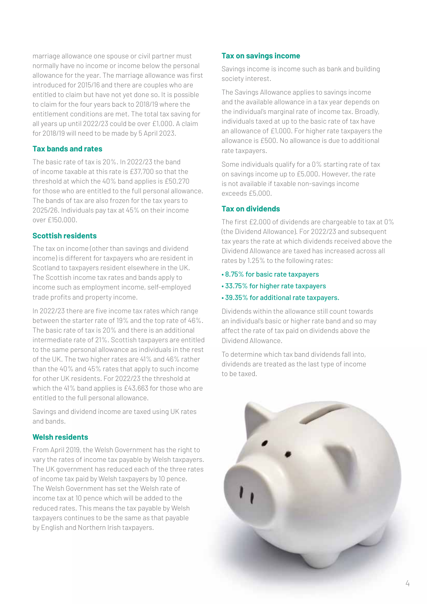marriage allowance one spouse or civil partner must normally have no income or income below the personal allowance for the year. The marriage allowance was first introduced for 2015/16 and there are couples who are entitled to claim but have not yet done so. It is possible to claim for the four years back to 2018/19 where the entitlement conditions are met. The total tax saving for all years up until 2022/23 could be over £1,000. A claim for 2018/19 will need to be made by 5 April 2023.

#### **Tax bands and rates**

The basic rate of tax is 20%. In 2022/23 the band of income taxable at this rate is £37,700 so that the threshold at which the 40% band applies is £50,270 for those who are entitled to the full personal allowance. The bands of tax are also frozen for the tax years to 2025/26. Individuals pay tax at 45% on their income over £150,000.

#### **Scottish residents**

The tax on income (other than savings and dividend income) is different for taxpayers who are resident in Scotland to taxpayers resident elsewhere in the UK. The Scottish income tax rates and bands apply to income such as employment income, self-employed trade profits and property income.

In 2022/23 there are five income tax rates which range between the starter rate of 19% and the top rate of 46%. The basic rate of tax is 20% and there is an additional intermediate rate of 21%. Scottish taxpayers are entitled to the same personal allowance as individuals in the rest of the UK. The two higher rates are 41% and 46% rather than the 40% and 45% rates that apply to such income for other UK residents. For 2022/23 the threshold at which the 41% band applies is £43,663 for those who are entitled to the full personal allowance.

Savings and dividend income are taxed using UK rates and bands.

#### **Welsh residents**

From April 2019, the Welsh Government has the right to vary the rates of income tax payable by Welsh taxpayers. The UK government has reduced each of the three rates of income tax paid by Welsh taxpayers by 10 pence. The Welsh Government has set the Welsh rate of income tax at 10 pence which will be added to the reduced rates. This means the tax payable by Welsh taxpayers continues to be the same as that payable by English and Northern Irish taxpayers.

#### **Tax on savings income**

Savings income is income such as bank and building society interest.

The Savings Allowance applies to savings income and the available allowance in a tax year depends on the individual's marginal rate of income tax. Broadly, individuals taxed at up to the basic rate of tax have an allowance of £1,000. For higher rate taxpayers the allowance is £500. No allowance is due to additional rate taxpayers.

Some individuals qualify for a 0% starting rate of tax on savings income up to £5,000. However, the rate is not available if taxable non-savings income exceeds £5,000.

#### **Tax on dividends**

The first £2,000 of dividends are chargeable to tax at 0% (the Dividend Allowance). For 2022/23 and subsequent tax years the rate at which dividends received above the Dividend Allowance are taxed has increased across all rates by 1.25% to the following rates:

- 8.75% for basic rate taxpayers
- 33.75% for higher rate taxpayers
- 39.35% for additional rate taxpayers.

Dividends within the allowance still count towards an individual's basic or higher rate band and so may affect the rate of tax paid on dividends above the Dividend Allowance.

To determine which tax band dividends fall into, dividends are treated as the last type of income to be taxed.

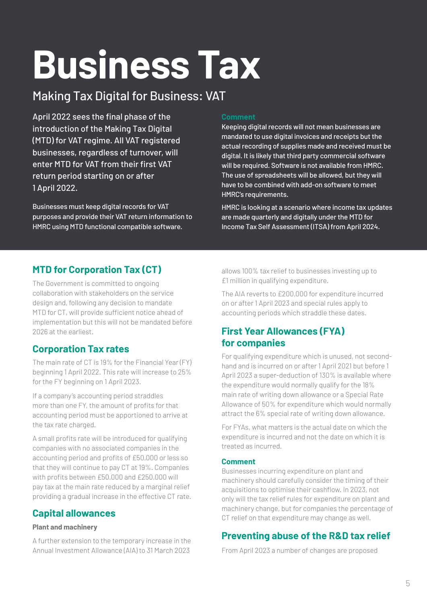# **Business Tax**

### Making Tax Digital for Business: VAT

April 2022 sees the final phase of the introduction of the Making Tax Digital (MTD) for VAT regime. All VAT registered businesses, regardless of turnover, will enter MTD for VAT from their first VAT return period starting on or after 1 April 2022.

Businesses must keep digital records for VAT purposes and provide their VAT return information to HMRC using MTD functional compatible software.

#### **Comment**

Keeping digital records will not mean businesses are mandated to use digital invoices and receipts but the actual recording of supplies made and received must be digital. It is likely that third party commercial software will be required. Software is not available from HMRC. The use of spreadsheets will be allowed, but they will have to be combined with add-on software to meet HMRC's requirements.

HMRC is looking at a scenario where income tax updates are made quarterly and digitally under the MTD for Income Tax Self Assessment (ITSA) from April 2024.

#### **MTD for Corporation Tax (CT)**

The Government is committed to ongoing collaboration with stakeholders on the service design and, following any decision to mandate MTD for CT, will provide sufficient notice ahead of implementation but this will not be mandated before 2026 at the earliest.

#### **Corporation Tax rates**

The main rate of CT is 19% for the Financial Year (FY) beginning 1 April 2022. This rate will increase to 25% for the FY beginning on 1 April 2023.

If a company's accounting period straddles more than one FY, the amount of profits for that accounting period must be apportioned to arrive at the tax rate charged.

A small profits rate will be introduced for qualifying companies with no associated companies in the accounting period and profits of £50,000 or less so that they will continue to pay CT at 19%. Companies with profits between £50,000 and £250,000 will pay tax at the main rate reduced by a marginal relief providing a gradual increase in the effective CT rate.

#### **Capital allowances**

#### **Plant and machinery**

A further extension to the temporary increase in the Annual Investment Allowance (AIA) to 31 March 2023

allows 100% tax relief to businesses investing up to £1 million in qualifying expenditure.

The AIA reverts to £200,000 for expenditure incurred on or after 1 April 2023 and special rules apply to accounting periods which straddle these dates.

#### **First Year Allowances (FYA) for companies**

For qualifying expenditure which is unused, not secondhand and is incurred on or after 1 April 2021 but before 1 April 2023 a super-deduction of 130% is available where the expenditure would normally qualify for the 18% main rate of writing down allowance or a Special Rate Allowance of 50% for expenditure which would normally attract the 6% special rate of writing down allowance.

For FYAs, what matters is the actual date on which the expenditure is incurred and not the date on which it is treated as incurred.

#### **Comment**

Businesses incurring expenditure on plant and machinery should carefully consider the timing of their acquisitions to optimise their cashflow. In 2023, not only will the tax relief rules for expenditure on plant and machinery change, but for companies the percentage of CT relief on that expenditure may change as well.

#### **Preventing abuse of the R&D tax relief**

From April 2023 a number of changes are proposed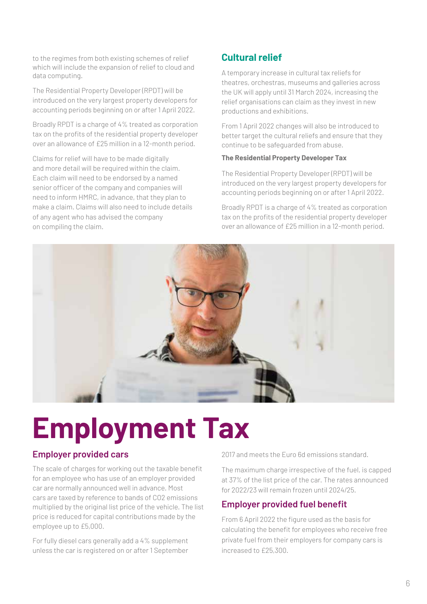The Residential Property Developer (RPDT) will be introduced on the very largest property developers for accounting periods beginning on or after 1 April 2022.

data computing.

to the regimes from both existing schemes of relief which will include the expansion of relief to cloud and

Broadly RPDT is a charge of 4% treated as corporation tax on the profits of the residential property developer over an allowance of £25 million in a 12-month period.

Claims for relief will have to be made digitally and more detail will be required within the claim. Each claim will need to be endorsed by a named senior officer of the company and companies will need to inform HMRC, in advance, that they plan to make a claim. Claims will also need to include details of any agent who has advised the company on compiling the claim.

#### **Cultural relief**

A temporary increase in cultural tax reliefs for theatres, orchestras, museums and galleries across the UK will apply until 31 March 2024, increasing the relief organisations can claim as they invest in new productions and exhibitions.

From 1 April 2022 changes will also be introduced to better target the cultural reliefs and ensure that they continue to be safeguarded from abuse.

#### **The Residential Property Developer Tax**

The Residential Property Developer (RPDT) will be introduced on the very largest property developers for accounting periods beginning on or after 1 April 2022.

Broadly RPDT is a charge of 4% treated as corporation tax on the profits of the residential property developer over an allowance of £25 million in a 12-month period.



# **Employment Tax**

#### **Employer provided cars**

The scale of charges for working out the taxable benefit for an employee who has use of an employer provided car are normally announced well in advance. Most cars are taxed by reference to bands of CO2 emissions multiplied by the original list price of the vehicle. The list price is reduced for capital contributions made by the employee up to £5,000.

For fully diesel cars generally add a 4% supplement unless the car is registered on or after 1 September 2017 and meets the Euro 6d emissions standard.

The maximum charge irrespective of the fuel, is capped at 37% of the list price of the car. The rates announced for 2022/23 will remain frozen until 2024/25.

#### **Employer provided fuel benefit**

From 6 April 2022 the figure used as the basis for calculating the benefit for employees who receive free private fuel from their employers for company cars is increased to £25,300.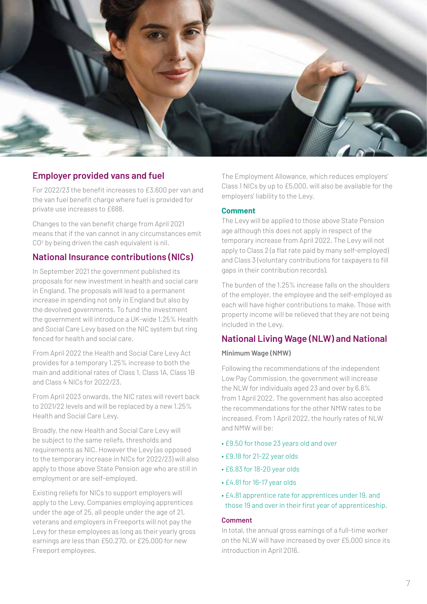

#### **Employer provided vans and fuel**

For 2022/23 the benefit increases to £3,600 per van and the van fuel benefit charge where fuel is provided for private use increases to £688.

Changes to the van benefit charge from April 2021 means that if the van cannot in any circumstances emit CO<sup>2</sup> by being driven the cash equivalent is nil.

#### **National Insurance contributions (NICs)**

In September 2021 the government published its proposals for new investment in health and social care in England. The proposals will lead to a permanent increase in spending not only in England but also by the devolved governments. To fund the investment the government will introduce a UK-wide 1.25% Health and Social Care Levy based on the NIC system but ring fenced for health and social care.

From April 2022 the Health and Social Care Levy Act provides for a temporary 1.25% increase to both the main and additional rates of Class 1, Class 1A, Class 1B and Class 4 NICs for 2022/23.

From April 2023 onwards, the NIC rates will revert back to 2021/22 levels and will be replaced by a new 1.25% Health and Social Care Levy.

Broadly, the new Health and Social Care Levy will be subject to the same reliefs, thresholds and requirements as NIC. However the Levy (as opposed to the temporary increase in NICs for 2022/23) will also apply to those above State Pension age who are still in employment or are self-employed.

Existing reliefs for NICs to support employers will apply to the Levy. Companies employing apprentices under the age of 25, all people under the age of 21, veterans and employers in Freeports will not pay the Levy for these employees as long as their yearly gross earnings are less than £50,270, or £25,000 for new Freeport employees.

The Employment Allowance, which reduces employers' Class 1 NICs by up to £5,000, will also be available for the employers' liability to the Levy.

#### **Comment**

The Levy will be applied to those above State Pension age although this does not apply in respect of the temporary increase from April 2022. The Levy will not apply to Class 2 (a flat rate paid by many self-employed) and Class 3 (voluntary contributions for taxpayers to fill gaps in their contribution records).

The burden of the 1.25% increase falls on the shoulders of the employer, the employee and the self-employed as each will have higher contributions to make. Those with property income will be relieved that they are not being included in the Levy.

#### **National Living Wage (NLW) and National**

#### **Minimum Wage (NMW)**

Following the recommendations of the independent Low Pay Commission, the government will increase the NLW for individuals aged 23 and over by 6.6% from 1 April 2022. The government has also accepted the recommendations for the other NMW rates to be increased. From 1 April 2022, the hourly rates of NLW and NMW will be:

- £9.50 for those 23 years old and over
- £9.18 for 21-22 year olds
- £6.83 for 18-20 year olds
- £4.81 for 16-17 year olds
- £4.81 apprentice rate for apprentices under 19, and those 19 and over in their first year of apprenticeship.

#### **Comment**

In total, the annual gross earnings of a full-time worker on the NLW will have increased by over £5,000 since its introduction in April 2016.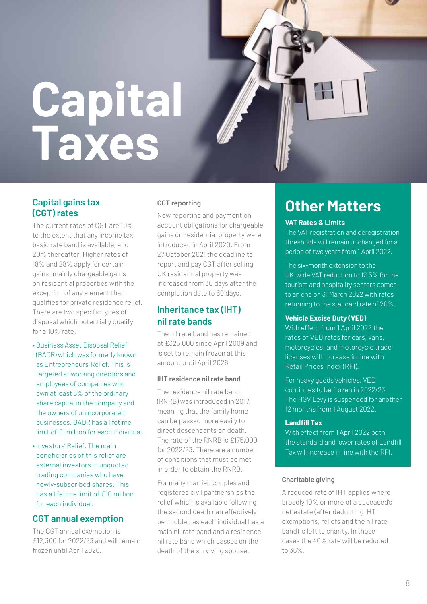# **Capital Taxes**



#### **Capital gains tax (CGT) rates**

The current rates of CGT are 10%, to the extent that any income tax basic rate band is available, and 20% thereafter. Higher rates of 18% and 28% apply for certain gains; mainly chargeable gains on residential properties with the exception of any element that qualifies for private residence relief. There are two specific types of disposal which potentially qualify for a 10% rate:

- Business Asset Disposal Relief (BADR) which was formerly known as Entrepreneurs' Relief. This is targeted at working directors and employees of companies who own at least 5% of the ordinary share capital in the company and the owners of unincorporated businesses. BADR has a lifetime limit of £1 million for each individual.
- Investors' Relief. The main beneficiaries of this relief are external investors in unquoted trading companies who have newly-subscribed shares. This has a lifetime limit of £10 million for each individual.

#### **CGT annual exemption**

The CGT annual exemption is £12,300 for 2022/23 and will remain frozen until April 2026.

#### **CGT reporting**

New reporting and payment on account obligations for chargeable gains on residential property were introduced in April 2020. From 27 October 2021 the deadline to report and pay CGT after selling UK residential property was increased from 30 days after the completion date to 60 days.

#### **Inheritance tax (IHT) nil rate bands**

The nil rate band has remained at £325,000 since April 2009 and is set to remain frozen at this amount until April 2026.

#### **IHT residence nil rate band**

The residence nil rate band (RNRB) was introduced in 2017, meaning that the family home can be passed more easily to direct descendants on death. The rate of the RNRB is £175,000 for 2022/23. There are a number of conditions that must be met in order to obtain the RNRB.

For many married couples and registered civil partnerships the relief which is available following the second death can effectively be doubled as each individual has a main nil rate band and a residence nil rate band which passes on the death of the surviving spouse.

### **Other Matters**

#### **VAT Rates & Limits**

The VAT registration and deregistration thresholds will remain unchanged for a period of two years from 1 April 2022.

The six-month extension to the UK-wide VAT reduction to 12.5% for the tourism and hospitality sectors comes to an end on 31 March 2022 with rates returning to the standard rate of 20%.

#### **Vehicle Excise Duty (VED)**

With effect from 1 April 2022 the rates of VED rates for cars, vans, motorcycles, and motorcycle trade licenses will increase in line with Retail Prices Index (RPI).

For heavy goods vehicles, VED continues to be frozen in 2022/23. The HGV Levy is suspended for another 12 months from 1 August 2022.

#### **Landfill Tax**

With effect from 1 April 2022 both the standard and lower rates of Landfill Tax will increase in line with the RPI.

#### **Charitable giving**

A reduced rate of IHT applies where broadly 10% or more of a deceased's net estate (after deducting IHT exemptions, reliefs and the nil rate band) is left to charity. In those cases the 40% rate will be reduced to 36%.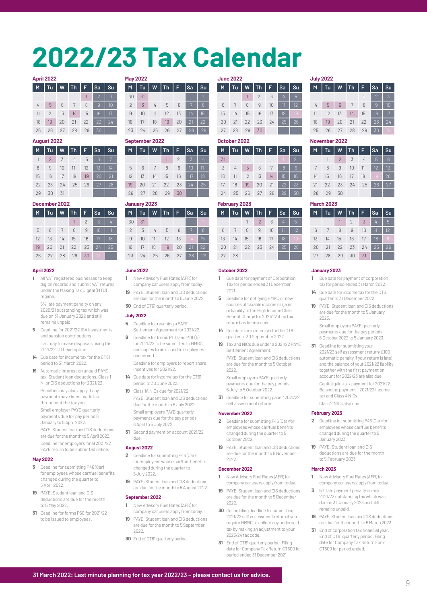## **2022/23 Tax Calendar**

#### **April 2022**

| M  | Tu | W  | Th | F. | Sa             | Su             |
|----|----|----|----|----|----------------|----------------|
|    |    |    |    |    | $\mathfrak{p}$ | $\overline{3}$ |
| 4  | 5  | 6  | 7  | 8  | 9              | 10             |
| 11 | 12 | 13 | 14 | 15 | 16             | 17             |
| 18 | 19 | 20 | 21 | 22 | 23             | 24             |
| 25 | 26 | 27 | 28 | 29 | 30             |                |

#### **August 2022**

| M  | Tu             | W  | <b>Th</b> | F. | Sa | Su |
|----|----------------|----|-----------|----|----|----|
|    | $\overline{2}$ | 3  | 4         | 5  | 6  | 7  |
| 8  | 9              | 10 | 11        | 12 | 13 | 14 |
| 15 | 16             | 17 | 18        | 19 | 20 | 21 |
| 22 | 23             | 24 | 25        | 26 | 27 | 28 |
| 29 | 30             | 31 |           |    |    |    |

#### **December 2022**

| M  | Tu | W  | <b>Th</b> | F              | Sa             | Su |
|----|----|----|-----------|----------------|----------------|----|
|    |    |    |           | $\overline{2}$ | $\overline{3}$ | 4  |
| 5  | 6  | 7  | 8         | 9              | 10             | 11 |
| 12 | 13 | 14 | 15        | 16             | 17             | 18 |
| 19 | 20 | 21 | 22        | 23             | 24             | 25 |
| 26 | 27 | 28 | 29        | 30             |                |    |

#### **April 2022**

**1** All VAT registered businesses to keep digital records and submit VAT returns under the Making Tax Digital (MTD) regime.

 5% late payment penalty on any 2020/21 outstanding tax which was due on 31 January 2022 and still remains unpaid.

- **5** Deadline for 2021/22 ISA investments and pension contributions. Last day to make disposals using the 2021/22 CGT exemption.
- **14** Due date for income tax for the CT61 period to 31 March 2022.

**19** Automatic interest on unpaid PAYE tax, Student loan deductions, Class 1 NI or CIS deductions for 2021/22. Penalties may also apply if any

payments have been made late throughout the tax year. Small employer PAYE quarterly payments due for pay period 6

January to 5 April 2022. PAYE, Student loan and CIS deductions

are due for the month to 5 April 2022. Deadline for employers' final 2021/22 PAYE return to be submitted online.

#### **May 2022**

- **3** Deadline for submitting P46 (Car) for employees whose car/fuel benefits changed during the quarter to 5 April 2022.
- **19** PAYE, Student loan and CIS deductions are due for the month to 5 May 2022.
- **31** Deadline for forms P60 for 2021/22 to be issued to employees.

#### **May 2022**

| .<br>----      |    |    |    |    |    |    |  |  |  |
|----------------|----|----|----|----|----|----|--|--|--|
| M              | Tu | W  | Th | F  | Sa | Su |  |  |  |
| 30             | 31 |    |    |    |    |    |  |  |  |
| $\mathfrak{D}$ | 3  | 4  | 5  | 6  |    | 8  |  |  |  |
| 9              | 10 | 11 | 12 | 13 | 14 | 15 |  |  |  |
| 16             | 17 | 18 | 19 | 20 | 21 | 22 |  |  |  |
| 23             | 24 | 25 | 26 | 27 | 28 | 29 |  |  |  |

#### **September 2022**

| M  | Tu | $\overline{\mathsf{W}}$ | Th | F              | Sa             | Su |
|----|----|-------------------------|----|----------------|----------------|----|
|    |    |                         |    | $\overline{2}$ | $\overline{3}$ | 4  |
| 5  | 6  | 7                       | 8  | 9              | 10             | 11 |
| 12 | 13 | 14                      | 15 | 16             | 17             | 18 |
| 19 | 20 | 21                      | 22 | 23             | 24             | 25 |
| 26 | 27 | 28                      | 29 | 30             |                |    |

#### **January 2023**

٦ ī

| M              | Tu | W  | Th | F  | Sa | Su |
|----------------|----|----|----|----|----|----|
| 30             | 31 |    |    |    |    |    |
| $\overline{2}$ | 3  | 4  | 5  | 6  | 7  | 8  |
| 9              | 10 | 11 | 12 | 13 | 14 | 15 |
| 16             | 17 | 18 | 19 | 20 | 21 | 22 |
| 23             | 24 | 25 | 26 | 27 | 28 | 29 |

#### **June 2022**

- **1** New Advisory Fuel Rates (AFR) for company car users apply from today.
- **19** PAYE, Student loan and CIS deductions are due for the month to 5 June 2022. **30** End of CT61 quarterly period.

#### **July 2022**

- **5** Deadline for reaching a PAYE Settlement Agreement for 2021/22.
- **6** Deadline for forms P11D and P11D(b) for 2021/22 to be submitted to HMRC and copies to be issued to employees concerned.
- Deadline for employers to report share incentives for 2021/22.
- **14** Due date for income tax for the CT61 period to 30 June 2022.
	- **19** Class 1A NICs due for 2021/22. PAYE, Student loan and CIS deductions due for the month to 5 July 2022. Small employers PAYE quarterly payments due for the pay periods 6 April to 5 July 2022.
- **31** Second payment on account 2021/22 due.

#### **August 2022**

- **2** Deadline for submitting P46 (Car) for employees whose car/fuel benefits changed during the quarter to 5 July 2022.
- **19** PAYE, Student loan and CIS deductions are due for the month to 5 August 2022.

#### **September 2022**

- **1** New Advisory Fuel Rates (AFR) for company car users apply from today.
- **19** PAYE, Student loan and CIS deductions are due for the month to 5 September 2022.
- **30** End of CT61 quarterly period.

#### **June 2022**

| M  | Tu | W  | Th             | F  | Sa | Su |
|----|----|----|----------------|----|----|----|
|    |    |    | $\overline{2}$ | 3  | 4  | 5  |
| 6  |    | 8  | 9              | 10 | 11 | 12 |
| 13 | 14 | 15 | 16             | 17 | 18 | 19 |
| 20 | 21 | 22 | 23             | 24 | 25 | 26 |
| 27 | 28 | 29 | 30             |    |    |    |

#### **October 2022**

| M  | Tu | W  | Th | F. | Sa | Su            |
|----|----|----|----|----|----|---------------|
| 31 |    |    |    |    |    | $\mathcal{P}$ |
| 3  | 4  | 5  | 6  | 7  | 8  | 9             |
| 10 | 11 | 12 | 13 | 14 | 15 | 16            |
| 17 | 18 | 19 | 20 | 21 | 22 | 23            |
| 24 | 25 | 26 | 27 | 28 | 29 | 30            |

#### **February 2023**

| M  | Tu | $\overline{W}$ | Th             | F  | Sa | Su |
|----|----|----------------|----------------|----|----|----|
|    |    |                | $\overline{2}$ | 3  | 4  | 5  |
| 6  | 7  | 8              | 9              | 10 | 11 | 12 |
| 13 | 14 | 15             | 16             | 17 | 18 | 19 |
| 20 | 21 | 22             | 23             | 24 | 25 | 26 |
| 27 | 28 |                |                |    |    |    |

#### **October 2022**

- **1** Due date for payment of Corporation Tax for period ended 31 December 2021.
- **5** Deadline for notifying HMRC of new sources of taxable income or gains or liability to the High Income Child Benefit Charge for 2021/22 if no tax return has been issued.
- **14** Due date for income tax for the CT61 quarter to 30 September 2022.
- **19** Tax and NICs due under a 2021/22 PAYE Settlement Agreement. PAYE, Student loan and CIS deductions are due for the month to 5 October

2022. Small employers PAYE quarterly

payments due for the pay periods 6 July to 5 October 2022.

**31** Deadline for submitting 'paper' 2021/22 self assessment returns.

#### **November 2022**

- **2** Deadline for submitting P46 (Car) for employees whose car/fuel benefits changed during the quarter to 5 October 2022.
- **19** PAYE, Student loan and CIS deductions are due for the month to 5 November 2022.

#### **December 2022**

- **1** New Advisory Fuel Rates (AFR) for company car users apply from today.
- **19** PAYE, Student loan and CIS deductions are due for the month to 5 December  $2022$
- **30** Online filing deadline for submitting 2021/22 self assessment return if you require HMRC to collect any underpaid tax by making an adjustment to your 2023/24 tax code.
- **31** End of CT61 quarterly period. Filing date for Company Tax Return CT600 for period ended 31 December 2021.

#### **July 2022**

| м  | Tu | W  | <b>Th</b> | F. | Sa             | Su             |
|----|----|----|-----------|----|----------------|----------------|
|    |    |    |           |    | $\overline{2}$ | $\overline{3}$ |
| 4  | 5  | 6  | 7         | 8  | 9              | 10             |
| 11 | 12 | 13 | 14        | 15 | 16             | 17             |
| 18 | 19 | 20 | 21        | 22 | 23             | 24             |
| 25 | 26 | 27 | 28        | 29 | 30             | 31             |

#### **November 2022**

| M  | Tu | W              | <b>Th</b> | F  | Sa | Su             |
|----|----|----------------|-----------|----|----|----------------|
|    |    | $\overline{2}$ | 3         | 4  | 5  | $\overline{6}$ |
| 7  | 8  | 9              | 10        | 11 | 12 | 13             |
| 14 | 15 | 16             | 17        | 18 | 19 | 20             |
| 21 | 22 | 23             | 24        | 25 | 26 | 27             |
| 28 | 29 | 30             |           |    |    |                |

#### **March 2023**

| M  | Tu | W  | Th             | F  | Sa | Su |
|----|----|----|----------------|----|----|----|
|    |    |    | $\overline{2}$ | 3  | 4  | 5  |
| 6  | 7  | 8  | 9              | 10 | 11 | 12 |
| 13 | 14 | 15 | 16             | 17 | 18 | 19 |
| 20 | 21 | 22 | 23             | 24 | 25 | 26 |
| 27 | 28 | 29 | 30             | 31 |    |    |

#### **January 2023**

- **1** Due date for payment of corporation tax for period ended 31 March 2022.
- **14** Due date for income tax for the CT61 quarter to 31 December 2022.
- **19** PAYE, Student loan and CIS deductions are due for the month to 5 January 2023.

 Small employers PAYE quarterly payments due for the pay periods 6 October 2022 to 5 January 2023.

**31** Deadline for submitting your 2021/22 self assessment return (£100 automatic penalty if your return is late) and the balance of your 2021/22 liability together with the first payment on account for 2022/23 are also due Capital gains tax payment for 2021/22.

Balancing payment – 2021/22 income tax and Class 4 NICs. Class 2 NICs also due.

#### **February 2023**

- **2** Deadline for submitting P46 (Car) for employees whose car/fuel benefits changed during the quarter to 5 January 2023.
- **19** PAYE, Student loan and CIS deductions are due for the month to 5 February 2023

#### **March 2023**

- **1** New Advisory Fuel Rates (AFR) for company car users apply from today.
- **3** 5% late payment penalty on any 2021/22 outstanding tax which was due on 31 January 2023 and still remains unpaid.
- **19** PAYE, Student loan and CIS deductions are due for the month to 5 March 2023.
- **31** End of corporation tax financial year. End of CT61 quarterly period. Filing date for Company Tax Return Form CT600 for period ended.